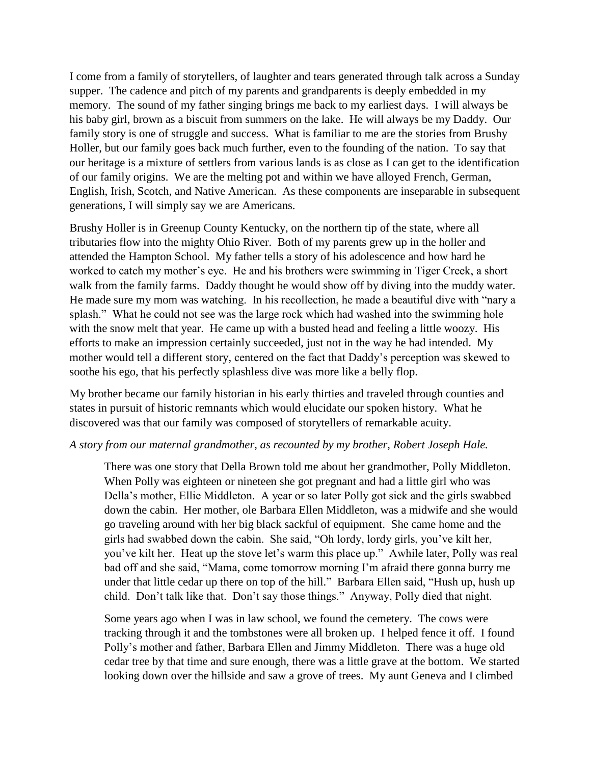I come from a family of storytellers, of laughter and tears generated through talk across a Sunday supper. The cadence and pitch of my parents and grandparents is deeply embedded in my memory. The sound of my father singing brings me back to my earliest days. I will always be his baby girl, brown as a biscuit from summers on the lake. He will always be my Daddy. Our family story is one of struggle and success. What is familiar to me are the stories from Brushy Holler, but our family goes back much further, even to the founding of the nation. To say that our heritage is a mixture of settlers from various lands is as close as I can get to the identification of our family origins. We are the melting pot and within we have alloyed French, German, English, Irish, Scotch, and Native American. As these components are inseparable in subsequent generations, I will simply say we are Americans.

Brushy Holler is in Greenup County Kentucky, on the northern tip of the state, where all tributaries flow into the mighty Ohio River. Both of my parents grew up in the holler and attended the Hampton School. My father tells a story of his adolescence and how hard he worked to catch my mother's eye. He and his brothers were swimming in Tiger Creek, a short walk from the family farms. Daddy thought he would show off by diving into the muddy water. He made sure my mom was watching. In his recollection, he made a beautiful dive with "nary a splash." What he could not see was the large rock which had washed into the swimming hole with the snow melt that year. He came up with a busted head and feeling a little woozy. His efforts to make an impression certainly succeeded, just not in the way he had intended. My mother would tell a different story, centered on the fact that Daddy's perception was skewed to soothe his ego, that his perfectly splashless dive was more like a belly flop.

My brother became our family historian in his early thirties and traveled through counties and states in pursuit of historic remnants which would elucidate our spoken history. What he discovered was that our family was composed of storytellers of remarkable acuity.

## *A story from our maternal grandmother, as recounted by my brother, Robert Joseph Hale.*

There was one story that Della Brown told me about her grandmother, Polly Middleton. When Polly was eighteen or nineteen she got pregnant and had a little girl who was Della's mother, Ellie Middleton. A year or so later Polly got sick and the girls swabbed down the cabin. Her mother, ole Barbara Ellen Middleton, was a midwife and she would go traveling around with her big black sackful of equipment. She came home and the girls had swabbed down the cabin. She said, "Oh lordy, lordy girls, you've kilt her, you've kilt her. Heat up the stove let's warm this place up." Awhile later, Polly was real bad off and she said, "Mama, come tomorrow morning I'm afraid there gonna burry me under that little cedar up there on top of the hill." Barbara Ellen said, "Hush up, hush up child. Don't talk like that. Don't say those things." Anyway, Polly died that night.

Some years ago when I was in law school, we found the cemetery. The cows were tracking through it and the tombstones were all broken up. I helped fence it off. I found Polly's mother and father, Barbara Ellen and Jimmy Middleton. There was a huge old cedar tree by that time and sure enough, there was a little grave at the bottom. We started looking down over the hillside and saw a grove of trees. My aunt Geneva and I climbed